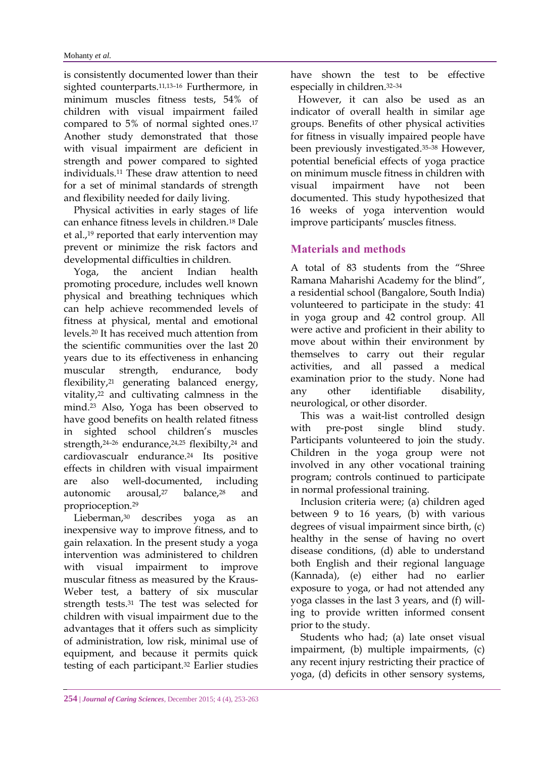is consistently documented lower than their sighted counterparts.11,13–<sup>16</sup> Furthermore, in minimum muscles fitness tests, 54% of children with visual impairment failed compared to 5% of normal sighted ones. 17 Another study demonstrated that those with visual impairment are deficient in strength and power compared to sighted individuals.<sup>11</sup> These draw attention to need for a set of minimal standards of strength and flexibility needed for daily living.

 Physical activities in early stages of life can enhance fitness levels in children.<sup>18</sup> Dale et al.,<sup>19</sup> reported that early intervention may prevent or minimize the risk factors and developmental difficulties in children.

 Yoga, the ancient Indian health promoting procedure, includes well known physical and breathing techniques which can help achieve recommended levels of fitness at physical, mental and emotional levels.<sup>20</sup> It has received much attention from the scientific communities over the last 20 years due to its effectiveness in enhancing muscular strength, endurance, body flexibility,<sup>21</sup> generating balanced energy, vitality,<sup>22</sup> and cultivating calmness in the mind.<sup>23</sup> Also, Yoga has been observed to have good benefits on health related fitness in sighted school children's muscles strength,<sup>24-26</sup> endurance,<sup>24,25</sup> flexibilty,<sup>24</sup> and cardiovascualr endurance.<sup>24</sup> Its positive effects in children with visual impairment are also well-documented, including autonomic arousal,<sup>27</sup> balance,<sup>28</sup> and proprioception.<sup>29</sup>

 Lieberman,<sup>30</sup> describes yoga as an inexpensive way to improve fitness, and to gain relaxation. In the present study a yoga intervention was administered to children with visual impairment to improve muscular fitness as measured by the [Kraus-](http://www.google.com/url?sa=t&rct=j&q=&esrc=s&frm=1&source=web&cd=1&cad=rja&uact=8&ved=0ahUKEwiEnaXAqqHJAhUHORoKHZOsCz0QFggcMAA&url=http%3A%2F%2Fwww.fitnesstipsforlife.com%2Fkraus-weber-fitness-test.html&usg=AFQjCNF1_O4S4SYOoicZAYsnGIQDMJQwhQ&sig2=caDkcfLlcO-Rw2Bwtu7bjA&bvm=bv.108194040,d.d24)[Weber t](http://www.google.com/url?sa=t&rct=j&q=&esrc=s&frm=1&source=web&cd=1&cad=rja&uact=8&ved=0ahUKEwiEnaXAqqHJAhUHORoKHZOsCz0QFggcMAA&url=http%3A%2F%2Fwww.fitnesstipsforlife.com%2Fkraus-weber-fitness-test.html&usg=AFQjCNF1_O4S4SYOoicZAYsnGIQDMJQwhQ&sig2=caDkcfLlcO-Rw2Bwtu7bjA&bvm=bv.108194040,d.d24)est, a battery of six muscular strength tests.<sup>31</sup> The test was selected for children with visual impairment due to the advantages that it offers such as simplicity of administration, low risk, minimal use of equipment, and because it permits quick testing of each participant.<sup>32</sup> Earlier studies

have shown the test to be effective especially in children.32–<sup>34</sup>

 However, it can also be used as an indicator of overall health in similar age groups. Benefits of other physical activities for fitness in visually impaired people have been previously investigated.35–<sup>38</sup> However, potential beneficial effects of yoga practice on minimum muscle fitness in children with visual impairment have not been documented. This study hypothesized that 16 weeks of yoga intervention would improve participants' muscles fitness.

# **Materials and methods**

A total of 83 students from the "Shree Ramana Maharishi Academy for the blind", a residential school (Bangalore, South India) volunteered to participate in the study: 41 in yoga group and 42 control group. All were active and proficient in their ability to move about within their environment by themselves to carry out their regular activities, and all passed a medical examination prior to the study. None had any other identifiable disability, neurological, or other disorder.

 This was a wait-list controlled design with pre-post single blind study. Participants volunteered to join the study. Children in the yoga group were not involved in any other vocational training program; controls continued to participate in normal professional training.

 Inclusion criteria were; (a) children aged between 9 to 16 years, (b) with various degrees of visual impairment since birth, (c) healthy in the sense of having no overt disease conditions, (d) able to understand both English and their regional language (Kannada), (e) either had no earlier exposure to yoga, or had not attended any yoga classes in the last 3 years, and (f) willing to provide written informed consent prior to the study.

 Students who had; (a) late onset visual impairment, (b) multiple impairments, (c) any recent injury restricting their practice of yoga, (d) deficits in other sensory systems,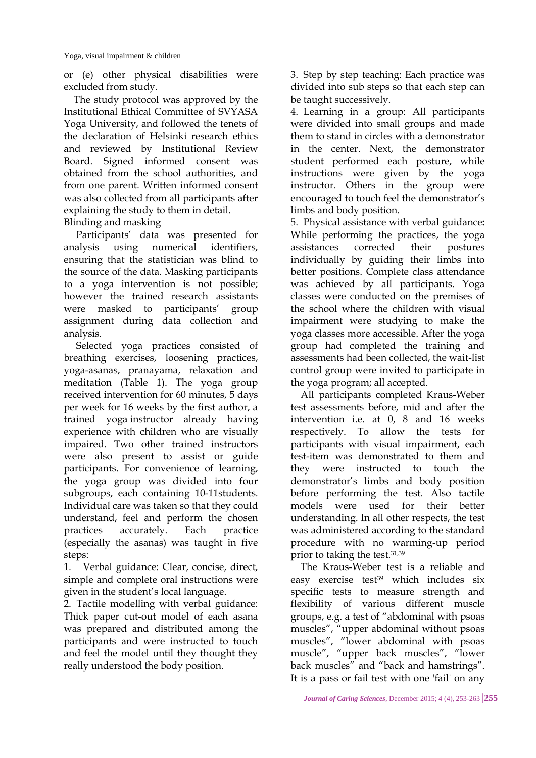or (e) other physical disabilities were excluded from study.

 The study protocol was approved by the Institutional Ethical Committee of SVYASA Yoga University, and followed the tenets of the declaration of Helsinki research ethics and reviewed by Institutional Review Board. Signed informed consent was obtained from the school authorities, and from one parent. Written informed consent was also collected from all participants after explaining the study to them in detail. Blinding and masking

 Participants' data was presented for analysis using numerical identifiers, ensuring that the statistician was blind to the source of the data. Masking participants to a yoga intervention is not possible; however the trained research assistants were masked to participants' group assignment during data collection and analysis.

 Selected yoga practices consisted of breathing exercises, loosening practices, yoga-asanas, pranayama, relaxation and meditation (Table 1). The yoga group received intervention for 60 minutes, 5 days per week for 16 weeks by the first author, a trained yoga instructor already having experience with children who are visually impaired. Two other trained instructors were also present to assist or guide participants. For convenience of learning, the yoga group was divided into four subgroups, each containing 10-11students. Individual care was taken so that they could understand, feel and perform the chosen practices accurately. Each practice (especially the asanas) was taught in five steps:

1. Verbal guidance: Clear, concise, direct, simple and complete oral instructions were given in the student's local language.

2. Tactile modelling with verbal guidance: Thick paper cut-out model of each asana was prepared and distributed among the participants and were instructed to touch and feel the model until they thought they really understood the body position.

3. Step by step teaching: Each practice was divided into sub steps so that each step can be taught successively.

4. Learning in a group: All participants were divided into small groups and made them to stand in circles with a demonstrator in the center. Next, the demonstrator student performed each posture, while instructions were given by the yoga instructor. Others in the group were encouraged to touch feel the demonstrator's limbs and body position.

5. Physical assistance with verbal guidance**:**  While performing the practices, the yoga assistances corrected their postures individually by guiding their limbs into better positions. Complete class attendance was achieved by all participants. Yoga classes were conducted on the premises of the school where the children with visual impairment were studying to make the yoga classes more accessible. After the yoga group had completed the training and assessments had been collected, the wait-list control group were invited to participate in the yoga program; all accepted.

 All participants completed Kraus-Weber test assessments before, mid and after the intervention i.e. at 0, 8 and 16 weeks respectively. To allow the tests for participants with visual impairment, each test-item was demonstrated to them and they were instructed to touch the demonstrator's limbs and body position before performing the test. Also tactile models were used for their better understanding. In all other respects, the test was administered according to the standard procedure with no warming-up period prior to taking the test.31,39

 The Kraus-Weber test is a reliable and easy exercise test<sup>39</sup> which includes six specific tests to measure strength and flexibility of various different muscle groups, e.g. a test of "abdominal with psoas muscles", "upper abdominal without psoas muscles", "lower abdominal with psoas muscle", "upper back muscles", "lower back muscles" and "back and hamstrings". It is a pass or fail test with one 'fail' on any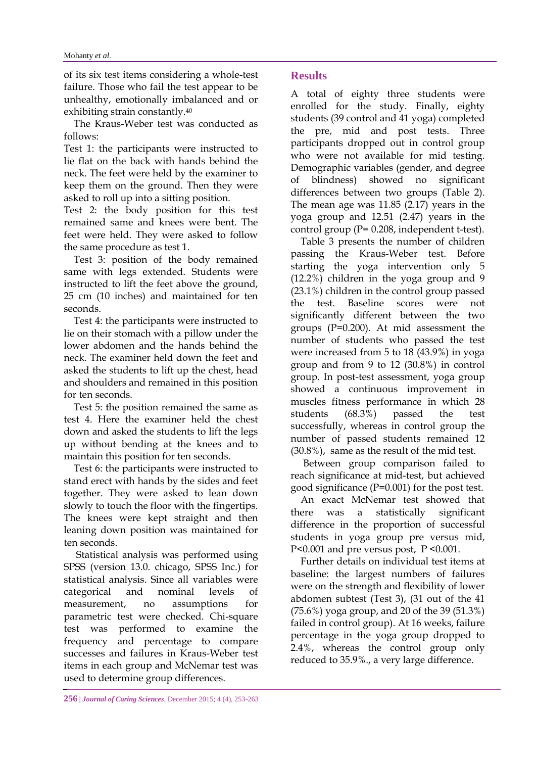of its six test items considering a whole-test failure. Those who fail the test appear to be unhealthy, emotionally imbalanced and or exhibiting strain constantly. 40

 The Kraus-Weber test was conducted as follows:

Test 1: the participants were instructed to lie flat on the back with hands behind the neck. The feet were held by the examiner to keep them on the ground. Then they were asked to roll up into a sitting position.

Test 2: the body position for this test remained same and knees were bent. The feet were held. They were asked to follow the same procedure as test 1.

 Test 3: position of the body remained same with legs extended. Students were instructed to lift the feet above the ground, 25 cm (10 inches) and maintained for ten seconds.

 Test 4: the participants were instructed to lie on their stomach with a pillow under the lower abdomen and the hands behind the neck. The examiner held down the feet and asked the students to lift up the chest, head and shoulders and remained in this position for ten seconds.

 Test 5: the position remained the same as test 4. Here the examiner held the chest down and asked the students to lift the legs up without bending at the knees and to maintain this position for ten seconds.

 Test 6: the participants were instructed to stand erect with hands by the sides and feet together. They were asked to lean down slowly to touch the floor with the fingertips. The knees were kept straight and then leaning down position was maintained for ten seconds.

 Statistical analysis was performed using SPSS (version 13.0. chicago, SPSS Inc.) for statistical analysis. Since all variables were categorical and nominal levels of measurement, no assumptions for parametric test were checked. Chi-square test was performed to examine the frequency and percentage to compare successes and failures in Kraus-Weber test items in each group and McNemar test was used to determine group differences.

## **Results**

A total of eighty three students were enrolled for the study. Finally, eighty students (39 control and 41 yoga) completed the pre, mid and post tests. Three participants dropped out in control group who were not available for mid testing. Demographic variables (gender, and degree of blindness) showed no significant differences between two groups (Table 2). The mean age was 11.85 (2.17) years in the yoga group and 12.51 (2.47) years in the control group (P= 0.208, independent t-test).

 Table 3 presents the number of children passing the Kraus-Weber test. Before starting the yoga intervention only 5 (12.2%) children in the yoga group and 9 (23.1%) children in the control group passed the test. Baseline scores were not significantly different between the two groups (P=0.200). At mid assessment the number of students who passed the test were increased from 5 to 18 (43.9%) in yoga group and from 9 to 12 (30.8%) in control group. In post-test assessment, yoga group showed a continuous improvement in muscles fitness performance in which 28 students (68.3%) passed the test successfully, whereas in control group the number of passed students remained 12 (30.8%), same as the result of the mid test.

 Between group comparison failed to reach significance at mid-test, but achieved good significance (P=0.001) for the post test.

 An exact McNemar test showed that there was a statistically significant difference in the proportion of successful students in yoga group pre versus mid, P<0.001 and pre versus post, P <0.001.

 Further details on individual test items at baseline: the largest numbers of failures were on the strength and flexibility of lower abdomen subtest (Test 3), (31 out of the 41 (75.6%) yoga group, and 20 of the 39 (51.3%) failed in control group). At 16 weeks, failure percentage in the yoga group dropped to 2.4%, whereas the control group only reduced to 35.9%., a very large difference.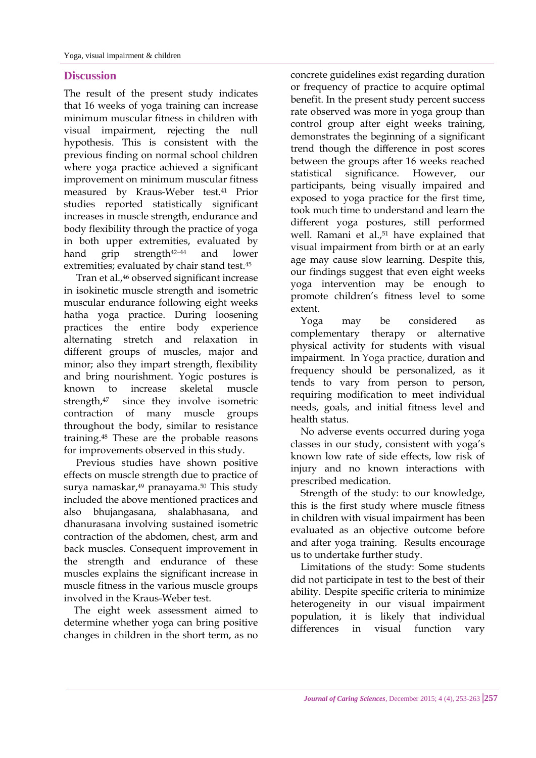### **Discussion**

The result of the present study indicates that 16 weeks of yoga training can increase minimum muscular fitness in children with visual impairment, rejecting the null hypothesis. This is consistent with the previous finding on normal school children where yoga practice achieved a significant improvement on minimum muscular fitness measured by Kraus-Weber test. <sup>41</sup> Prior studies reported statistically significant increases in muscle strength, endurance and body flexibility through the practice of yoga in both upper extremities, evaluated by hand grip strength<sup>42-44</sup> and lower extremities; evaluated by chair stand test.<sup>45</sup>

 Tran et al.,<sup>46</sup> observed significant increase in isokinetic muscle strength and isometric muscular endurance following eight weeks hatha yoga practice. During loosening practices the entire body experience alternating stretch and relaxation in different groups of muscles, major and minor; also they impart strength, flexibility and bring nourishment. Yogic postures is known to increase skeletal muscle strength,47 since they involve isometric contraction of many muscle groups throughout the body, similar to resistance training.<sup>48</sup> These are the probable reasons for improvements observed in this study.

 Previous studies have shown positive effects on muscle strength due to practice of surva namaskar,<sup>49</sup> pranayama.<sup>50</sup> This study included the above mentioned practices and also bhujangasana, shalabhasana, and dhanurasana involving sustained isometric contraction of the abdomen, chest, arm and back muscles. Consequent improvement in the strength and endurance of these muscles explains the significant increase in muscle fitness in the various muscle groups involved in the Kraus-Weber test.

 The eight week assessment aimed to determine whether yoga can bring positive changes in children in the short term, as no concrete guidelines exist regarding duration or frequency of practice to acquire optimal benefit. In the present study percent success rate observed was more in yoga group than control group after eight weeks training, demonstrates the beginning of a significant trend though the difference in post scores between the groups after 16 weeks reached statistical significance. However, our participants, being visually impaired and exposed to yoga practice for the first time, took much time to understand and learn the different yoga postures, still performed well. Ramani et al.,<sup>51</sup> have explained that visual impairment from birth or at an early age may cause slow learning. Despite this, our findings suggest that even eight weeks yoga intervention may be enough to promote children's fitness level to some extent.

 Yoga may be considered as complementary therapy or alternative physical activity for students with visual impairment. In Yoga practice, duration and frequency should be personalized, as it tends to vary from person to person, requiring modification to meet individual needs, goals, and initial fitness level and health status.

 No adverse events occurred during yoga classes in our study, consistent with yoga's known low rate of side effects, low risk of injury and no known interactions with prescribed medication.

 Strength of the study: to our knowledge, this is the first study where muscle fitness in children with visual impairment has been evaluated as an objective outcome before and after yoga training. Results encourage us to undertake further study.

 Limitations of the study: Some students did not participate in test to the best of their ability. Despite specific criteria to minimize heterogeneity in our visual impairment population, it is likely that individual differences in visual function vary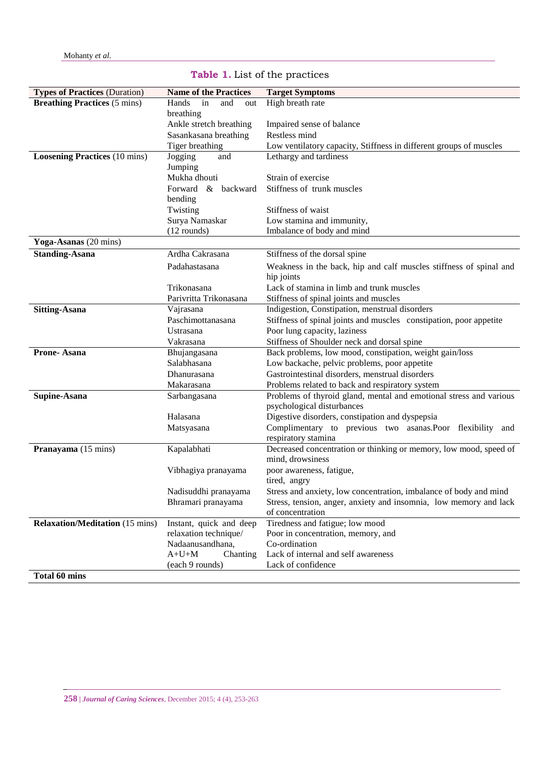| <b>Breathing Practices (5 mins)</b><br>High breath rate<br>Hands<br>in<br>and<br>out<br>breathing<br>Ankle stretch breathing<br>Impaired sense of balance<br>Sasankasana breathing<br>Restless mind<br>Tiger breathing<br>Low ventilatory capacity, Stiffness in different groups of muscles<br><b>Loosening Practices</b> (10 mins)<br>Lethargy and tardiness<br>Jogging<br>and<br>Jumping |  |
|---------------------------------------------------------------------------------------------------------------------------------------------------------------------------------------------------------------------------------------------------------------------------------------------------------------------------------------------------------------------------------------------|--|
|                                                                                                                                                                                                                                                                                                                                                                                             |  |
|                                                                                                                                                                                                                                                                                                                                                                                             |  |
|                                                                                                                                                                                                                                                                                                                                                                                             |  |
|                                                                                                                                                                                                                                                                                                                                                                                             |  |
|                                                                                                                                                                                                                                                                                                                                                                                             |  |
|                                                                                                                                                                                                                                                                                                                                                                                             |  |
|                                                                                                                                                                                                                                                                                                                                                                                             |  |
| Mukha dhouti<br>Strain of exercise                                                                                                                                                                                                                                                                                                                                                          |  |
| Stiffness of trunk muscles<br>Forward $\&$<br>backward                                                                                                                                                                                                                                                                                                                                      |  |
| bending                                                                                                                                                                                                                                                                                                                                                                                     |  |
| Twisting<br>Stiffness of waist                                                                                                                                                                                                                                                                                                                                                              |  |
| Surya Namaskar<br>Low stamina and immunity,                                                                                                                                                                                                                                                                                                                                                 |  |
| $(12$ rounds)<br>Imbalance of body and mind                                                                                                                                                                                                                                                                                                                                                 |  |
| Yoga-Asanas (20 mins)                                                                                                                                                                                                                                                                                                                                                                       |  |
| Ardha Cakrasana<br><b>Standing-Asana</b><br>Stiffness of the dorsal spine                                                                                                                                                                                                                                                                                                                   |  |
| Padahastasana<br>Weakness in the back, hip and calf muscles stiffness of spinal and                                                                                                                                                                                                                                                                                                         |  |
| hip joints                                                                                                                                                                                                                                                                                                                                                                                  |  |
| Lack of stamina in limb and trunk muscles<br>Trikonasana                                                                                                                                                                                                                                                                                                                                    |  |
| Parivritta Trikonasana<br>Stiffness of spinal joints and muscles                                                                                                                                                                                                                                                                                                                            |  |
| Indigestion, Constipation, menstrual disorders<br>Vajrasana<br><b>Sitting-Asana</b>                                                                                                                                                                                                                                                                                                         |  |
| Paschimottanasana<br>Stiffness of spinal joints and muscles constipation, poor appetite<br>Poor lung capacity, laziness<br>Ustrasana                                                                                                                                                                                                                                                        |  |
| Stiffness of Shoulder neck and dorsal spine<br>Vakrasana                                                                                                                                                                                                                                                                                                                                    |  |
| Back problems, low mood, constipation, weight gain/loss<br>Bhujangasana<br>Prone-Asana                                                                                                                                                                                                                                                                                                      |  |
| Salabhasana<br>Low backache, pelvic problems, poor appetite                                                                                                                                                                                                                                                                                                                                 |  |
| Gastrointestinal disorders, menstrual disorders<br>Dhanurasana                                                                                                                                                                                                                                                                                                                              |  |
| Problems related to back and respiratory system<br>Makarasana                                                                                                                                                                                                                                                                                                                               |  |
| Problems of thyroid gland, mental and emotional stress and various<br>Supine-Asana<br>Sarbangasana                                                                                                                                                                                                                                                                                          |  |
| psychological disturbances                                                                                                                                                                                                                                                                                                                                                                  |  |
| Digestive disorders, constipation and dyspepsia<br>Halasana                                                                                                                                                                                                                                                                                                                                 |  |
| Complimentary to previous two asanas.Poor flexibility and<br>Matsyasana                                                                                                                                                                                                                                                                                                                     |  |
| respiratory stamina                                                                                                                                                                                                                                                                                                                                                                         |  |
| Kapalabhati<br>Pranayama (15 mins)<br>Decreased concentration or thinking or memory, low mood, speed of                                                                                                                                                                                                                                                                                     |  |
| mind, drowsiness                                                                                                                                                                                                                                                                                                                                                                            |  |
| poor awareness, fatigue,<br>Vibhagiya pranayama                                                                                                                                                                                                                                                                                                                                             |  |
| tired, angry                                                                                                                                                                                                                                                                                                                                                                                |  |
| Nadisuddhi pranayama<br>Stress and anxiety, low concentration, imbalance of body and mind                                                                                                                                                                                                                                                                                                   |  |
| Stress, tension, anger, anxiety and insomnia, low memory and lack<br>Bhramari pranayama                                                                                                                                                                                                                                                                                                     |  |
| of concentration                                                                                                                                                                                                                                                                                                                                                                            |  |
| <b>Relaxation/Meditation</b> (15 mins)<br>Instant, quick and deep<br>Tiredness and fatigue; low mood                                                                                                                                                                                                                                                                                        |  |
| relaxation technique/<br>Poor in concentration, memory, and                                                                                                                                                                                                                                                                                                                                 |  |
| Nadaanusandhana,<br>Co-ordination                                                                                                                                                                                                                                                                                                                                                           |  |
| Lack of internal and self awareness<br>$A+U+M$<br>Chanting<br>Lack of confidence                                                                                                                                                                                                                                                                                                            |  |
| (each 9 rounds)<br>Total 60 mins                                                                                                                                                                                                                                                                                                                                                            |  |

## **Table 1.** List of the practices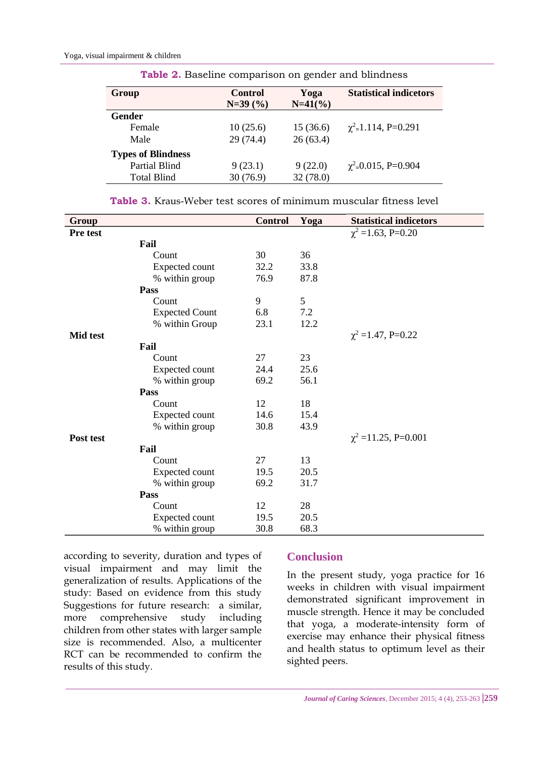| Group                     | <b>Control</b> | Yoga      | <b>Statistical indicetors</b>        |
|---------------------------|----------------|-----------|--------------------------------------|
|                           | $N=39(%)$      | $N=41(%)$ |                                      |
| <b>Gender</b>             |                |           |                                      |
| Female                    | 10(25.6)       | 15(36.6)  | $\chi^2$ =1.114, P=0.291             |
| Male                      | 29 (74.4)      | 26(63.4)  |                                      |
| <b>Types of Blindness</b> |                |           |                                      |
| <b>Partial Blind</b>      | 9(23.1)        | 9(22.0)   | $\chi^2$ <sub>=</sub> 0.015, P=0.904 |
| <b>Total Blind</b>        | 30(76.9)       | 32 (78.0) |                                      |
|                           |                |           |                                      |

**Table 2.** Baseline comparison on gender and blindness

| <b>Table 3.</b> Kraus-Weber test scores of minimum muscular fitness level |  |
|---------------------------------------------------------------------------|--|
|---------------------------------------------------------------------------|--|

| Group           |                       | <b>Control</b> | Yoga | <b>Statistical indicetors</b> |
|-----------------|-----------------------|----------------|------|-------------------------------|
| Pre test        |                       |                |      | $\chi^2$ =1.63, P=0.20        |
|                 | Fail                  |                |      |                               |
|                 | Count                 | 30             | 36   |                               |
|                 | Expected count        | 32.2           | 33.8 |                               |
|                 | % within group        | 76.9           | 87.8 |                               |
|                 | <b>Pass</b>           |                |      |                               |
|                 | Count                 | 9              | 5    |                               |
|                 | <b>Expected Count</b> | 6.8            | 7.2  |                               |
|                 | % within Group        | 23.1           | 12.2 |                               |
| <b>Mid test</b> |                       |                |      | $\chi^2$ =1.47, P=0.22        |
|                 | Fail                  |                |      |                               |
|                 | Count                 | 27             | 23   |                               |
|                 | Expected count        | 24.4           | 25.6 |                               |
|                 | % within group        | 69.2           | 56.1 |                               |
|                 | <b>Pass</b>           |                |      |                               |
|                 | Count                 | 12             | 18   |                               |
|                 | Expected count        | 14.6           | 15.4 |                               |
|                 | % within group        | 30.8           | 43.9 |                               |
| Post test       |                       |                |      | $\chi^2$ =11.25, P=0.001      |
|                 | Fail                  |                |      |                               |
|                 | Count                 | 27             | 13   |                               |
|                 | Expected count        | 19.5           | 20.5 |                               |
|                 | % within group        | 69.2           | 31.7 |                               |
|                 | Pass                  |                |      |                               |
|                 | Count                 | 12             | 28   |                               |
|                 | Expected count        | 19.5           | 20.5 |                               |
|                 | % within group        | 30.8           | 68.3 |                               |

according to severity, duration and types of visual impairment and may limit the generalization of results. Applications of the study: Based on evidence from this study Suggestions for future research: a similar, more comprehensive study including children from other states with larger sample size is recommended. Also, a multicenter RCT can be recommended to confirm the results of this study.

#### **Conclusion**

In the present study, yoga practice for 16 weeks in children with visual impairment demonstrated significant improvement in muscle strength. Hence it may be concluded that yoga, a moderate-intensity form of exercise may enhance their physical fitness and health status to optimum level as their sighted peers.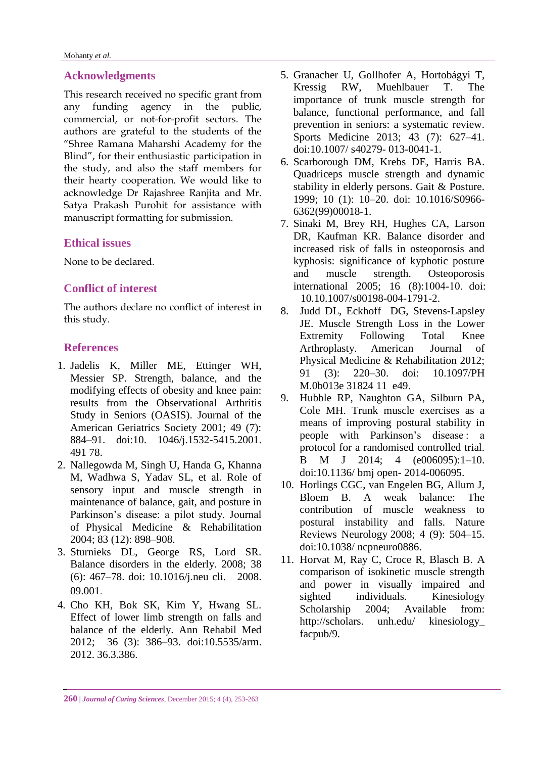## **Acknowledgments**

This research received no specific grant from any funding agency in the public, commercial, or not-for-profit sectors. The authors are grateful to the students of the "Shree Ramana Maharshi Academy for the Blind", for their enthusiastic participation in the study, and also the staff members for their hearty cooperation. We would like to acknowledge Dr Rajashree Ranjita and Mr. Satya Prakash Purohit for assistance with manuscript formatting for submission.

## **Ethical issues**

None to be declared.

## **Conflict of interest**

The authors declare no conflict of interest in this study.

## **References**

- 1. Jadelis K, Miller ME, Ettinger WH, Messier SP. Strength, balance, and the modifying effects of obesity and knee pain: results from the Observational Arthritis Study in Seniors (OASIS). Journal of the American Geriatrics Society 2001; 49 (7): 884–91. doi:10. 1046/j.1532-5415.2001. 491 78.
- 2. Nallegowda M, Singh U, Handa G, Khanna M, Wadhwa S, Yadav SL, et al. Role of sensory input and muscle strength in maintenance of balance, gait, and posture in Parkinson's disease: a pilot study. Journal of Physical Medicine & Rehabilitation 2004; 83 (12): 898–908.
- 3. Sturnieks DL, George RS, Lord SR. Balance disorders in the elderly. 2008; 38 (6): 467–78. doi: 10.1016/j.neu cli. 2008. 09.001.
- 4. Cho KH, Bok SK, Kim Y, Hwang SL. Effect of lower limb strength on falls and balance of the elderly. Ann Rehabil Med 2012; 36 (3): 386–93. [doi:10.5535/arm.](http://dx.doi.org/10.5535/arm.2012.36.3.386)  [2012. 36.3.386.](http://dx.doi.org/10.5535/arm.2012.36.3.386)
- 5. Granacher U, Gollhofer A, Hortobágyi T, Kressig RW, Muehlbauer T. The importance of trunk muscle strength for balance, functional performance, and fall prevention in seniors: a systematic review. Sports Medicine 2013; 43 (7): 627–41. doi:10.1007/ s40279- 013-0041-1.
- 6. Scarborough DM, Krebs DE, Harris BA. Quadriceps muscle strength and dynamic stability in elderly persons. Gait & Posture. 1999; 10 (1): 10–20. doi: 10.1016/S0966- 6362(99)00018-1.
- 7. Sinaki M, Brey RH, Hughes CA, Larson DR, Kaufman KR. Balance disorder and increased risk of falls in osteoporosis and kyphosis: significance of kyphotic posture and muscle strength. Osteoporosis international 2005; 16 (8):1004-10. doi: 10.10.1007/s00198-004-1791-2.
- 8. Judd DL, Eckhoff DG, Stevens-Lapsley JE. Muscle Strength Loss in the Lower Extremity Following Total Knee Arthroplasty. American Journal of Physical Medicine & Rehabilitation 2012; 91 (3): 220–30. doi: 10.1097/PH M.0b013e 31824 11 e49.
- 9. Hubble RP, Naughton GA, Silburn PA, Cole MH. Trunk muscle exercises as a means of improving postural stability in people with Parkinson's disease : a protocol for a randomised controlled trial. B M J 2014; 4 (e006095):1–10. doi:10.1136/ bmj open- 2014-006095.
- 10. Horlings CGC, van Engelen BG, Allum J, Bloem B. A weak balance: The contribution of muscle weakness to postural instability and falls. Nature Reviews Neurology 2008; 4 (9): 504–15. doi:10.1038/ ncpneuro0886.
- 11. Horvat M, Ray C, Croce R, Blasch B. A comparison of isokinetic muscle strength and power in visually impaired and sighted individuals. Kinesiology Scholarship 2004: Available from: http://scholars. unh.edu/ kinesiology\_ facpub/9.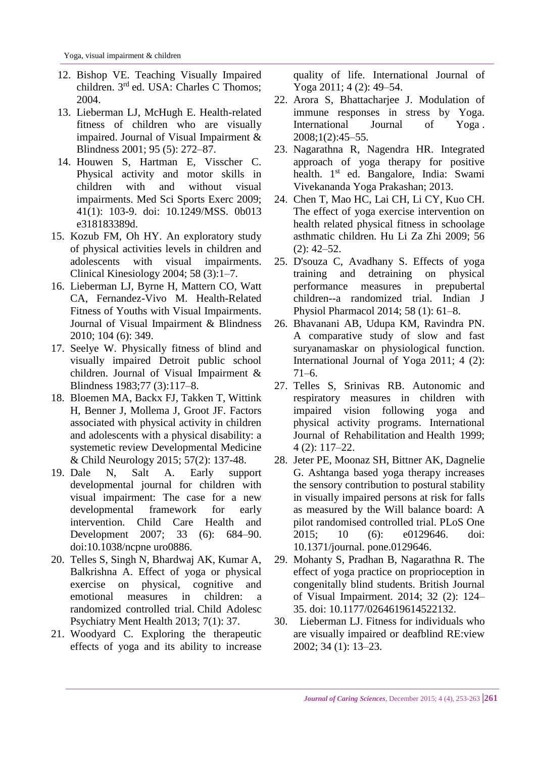- 12. Bishop VE. Teaching Visually Impaired children. 3rd ed. USA: Charles C Thomos; 2004.
- 13. Lieberman LJ, McHugh E. Health-related fitness of children who are visually impaired. Journal of Visual Impairment & Blindness 2001; 95 (5): 272–87.
- 14. Houwen S, Hartman E, Visscher C. Physical activity and motor skills in children with and without visual impairments. [Med Sci Sports Exerc](http://www.ncbi.nlm.nih.gov/pubmed/19092701) 2009; 41(1): 103-9. doi: 10.1249/MSS. 0b013 e318183389d.
- 15. Kozub FM, Oh HY. An exploratory study of physical activities levels in children and adolescents with visual impairments. Clinical Kinesiology 2004; 58 (3):1–7.
- 16. Lieberman LJ, Byrne H, Mattern CO, Watt CA, Fernandez-Vivo M. Health-Related Fitness of Youths with Visual Impairments. Journal of Visual Impairment & Blindness 2010; 104 (6): 349.
- 17. Seelye W. Physically fitness of blind and visually impaired Detroit public school children. Journal of Visual Impairment & Blindness 1983;77 (3):117–8.
- 18. Bloemen MA, Backx FJ, Takken T, Wittink H, Benner J, Mollema J, Groot JF. Factors associated with physical activity in children and adolescents with a physical disability: a systemetic review Developmental Medicine & Child Neurology 2015; 57(2): 137-48.
- 19. Dale N, Salt A. Early support developmental journal for children with visual impairment: The case for a new developmental framework for early intervention. Child Care Health and Development 2007; 33 (6): 684–90. doi:10.1038/ncpne uro0886.
- 20. Telles S, Singh N, Bhardwaj AK, Kumar A, Balkrishna A. Effect of yoga or physical exercise on physical, cognitive and emotional measures in children: a randomized controlled trial. Child Adolesc Psychiatry Ment Health 2013; 7(1): 37.
- 21. Woodyard C. Exploring the therapeutic effects of yoga and its ability to increase

quality of life. International Journal of Yoga 2011; 4 (2): 49–54.

- 22. Arora S, Bhattacharjee J. Modulation of immune responses in stress by Yoga. International Journal of Yoga . 2008;1(2):45–55.
- 23. Nagarathna R, Nagendra HR. Integrated approach of yoga therapy for positive health. 1<sup>st</sup> ed. Bangalore, India: Swami Vivekananda Yoga Prakashan; 2013.
- 24. Chen T, Mao HC, Lai CH, Li CY, Kuo CH. The effect of yoga exercise intervention on health related physical fitness in schoolage asthmatic children. Hu Li Za Zhi 2009; 56 (2): 42–52.
- 25. D'souza C, Avadhany S. Effects of yoga training and detraining on physical performance measures in prepubertal children--a randomized trial. Indian J Physiol Pharmacol 2014; 58 (1): 61–8.
- 26. Bhavanani AB, Udupa KM, Ravindra PN. A comparative study of slow and fast suryanamaskar on physiological function. International Journal of Yoga 2011; 4 (2): 71–6.
- 27. Telles S, Srinivas RB. Autonomic and respiratory measures in children with impaired vision following yoga and physical activity programs. International Journal of Rehabilitation and Health 1999; 4 (2): 117–22.
- 28. Jeter PE, Moonaz SH, Bittner AK, Dagnelie G. Ashtanga based yoga therapy increases the sensory contribution to postural stability in visually impaired persons at risk for falls as measured by the Will balance board: A pilot randomised controlled trial. PLoS One 2015; 10 (6): e0129646. doi: 10.1371/journal. pone.0129646.
- 29. Mohanty S, Pradhan B, Nagarathna R. The effect of yoga practice on proprioception in congenitally blind students. British Journal of Visual Impairment. 2014; 32 (2): 124– 35. doi: 10.1177/0264619614522132.
- 30. Lieberman LJ. Fitness for individuals who are visually impaired or deafblind RE:view 2002; 34 (1): 13–23.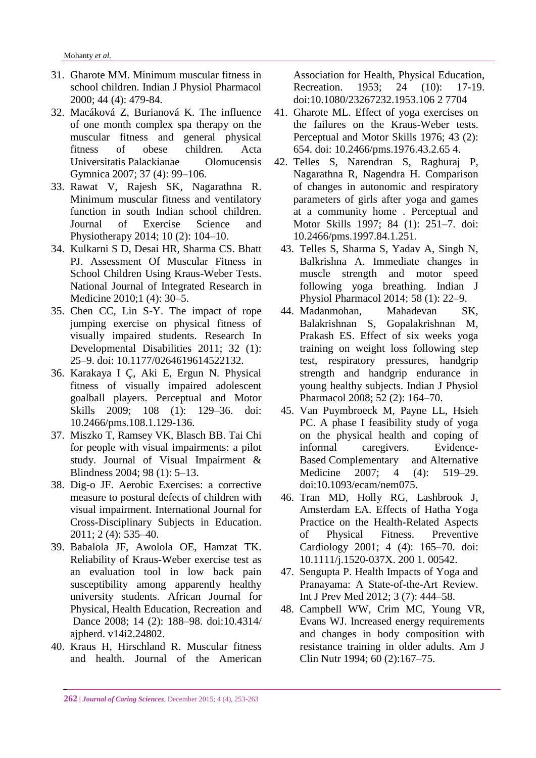- 31. Gharote MM. Minimum muscular fitness in school children. [Indian J Physiol Pharmacol](http://www.ncbi.nlm.nih.gov/pubmed/11214505) 2000; 44 (4): 479-84.
- 32. Macáková Z, Burianová K. The influence of one month complex spa therapy on the muscular fitness and general physical fitness of obese children. Acta Universitatis Palackianae Olomucensis Gymnica 2007; 37 (4): 99–106.
- 33. Rawat V, Rajesh SK, Nagarathna R. Minimum muscular fitness and ventilatory function in south Indian school children. Journal of Exercise Science and Physiotherapy 2014; 10 (2): 104–10.
- 34. Kulkarni S D, Desai HR, Sharma CS. Bhatt PJ. Assessment Of Muscular Fitness in School Children Using Kraus-Weber Tests. National Journal of Integrated Research in Medicine 2010;1 (4): 30–5.
- 35. Chen CC, Lin S-Y. The impact of rope jumping exercise on physical fitness of visually impaired students. Research In Developmental Disabilities 2011; 32 (1): 25–9. doi: 10.1177/0264619614522132.
- 36. Karakaya I Ç, Aki E, Ergun N. Physical fitness of visually impaired adolescent goalball players. Perceptual and Motor Skills 2009; 108 (1): 129–36. doi: 10.2466/pms.108.1.129-136.
- 37. Miszko T, Ramsey VK, Blasch BB. Tai Chi for people with visual impairments: a pilot study. Journal of Visual Impairment & Blindness 2004; 98 (1): 5–13.
- 38. Dig-o JF. Aerobic Exercises: a corrective measure to postural defects of children with visual impairment. International Journal for Cross-Disciplinary Subjects in Education. 2011; 2 (4): 535–40.
- 39. Babalola JF, Awolola OE, Hamzat TK. Reliability of Kraus-Weber exercise test as an evaluation tool in low back pain susceptibility among apparently healthy university students. African Journal for Physical, Health Education, Recreation and Dance 2008; 14 (2): 188–98. doi:10.4314/ ajpherd. v14i2.24802.
- 40. Kraus H, Hirschland R. Muscular fitness and health. Journal of the American

Association for Health, Physical Education, Recreation. 1953; 24 (10): 17-19. doi:10.1080/23267232.1953.106 2 7704

- 41. Gharote ML. Effect of yoga exercises on the failures on the Kraus-Weber tests. Perceptual and Motor Skills 1976; 43 (2): 654. doi: 10.2466/pms.1976.43.2.65 4.
- 42. Telles S, Narendran S, Raghuraj P, Nagarathna R, Nagendra H. Comparison of changes in autonomic and respiratory parameters of girls after yoga and games at a community home . Perceptual and Motor Skills 1997; 84 (1): 251–7. doi: 10.2466/pms.1997.84.1.251.
	- 43. Telles S, Sharma S, Yadav A, Singh N, Balkrishna A. Immediate changes in muscle strength and motor speed following yoga breathing. [Indian J](http://www.ncbi.nlm.nih.gov/pubmed/25464673)  [Physiol Pharmacol](http://www.ncbi.nlm.nih.gov/pubmed/25464673) 2014; 58 (1): 22–9.
	- 44. Madanmohan, Mahadevan SK, Balakrishnan S, Gopalakrishnan M, Prakash ES. Effect of six weeks yoga training on weight loss following step test, respiratory pressures, handgrip strength and handgrip endurance in young healthy subjects. [Indian J Physiol](http://www.ncbi.nlm.nih.gov/pubmed/19130860)  [Pharmacol](http://www.ncbi.nlm.nih.gov/pubmed/19130860) 2008; 52 (2): 164–70.
- 45. Van Puymbroeck M, Payne LL, Hsieh PC. A phase I feasibility study of yoga on the physical health and coping of informal caregivers. Evidence-Based Complementary and Alternative Medicine 2007: 4 (4): 519–29. doi:10.1093/ecam/nem075.
- 46. Tran MD, Holly RG, Lashbrook J, Amsterdam EA. Effects of Hatha Yoga Practice on the Health-Related Aspects of Physical Fitness. Preventive Cardiology 2001; 4 (4): 165–70. doi: 10.1111/j.1520-037X. 200 1. 00542.
- 47. Sengupta P. Health Impacts of Yoga and Pranayama: A State-of-the-Art Review. Int J Prev Med 2012; 3 (7): 444–58.
- 48. Campbell WW, Crim MC, Young VR, Evans WJ. Increased energy requirements and changes in body composition with resistance training in older adults. Am J Clin Nutr 1994; 60 (2):167–75.